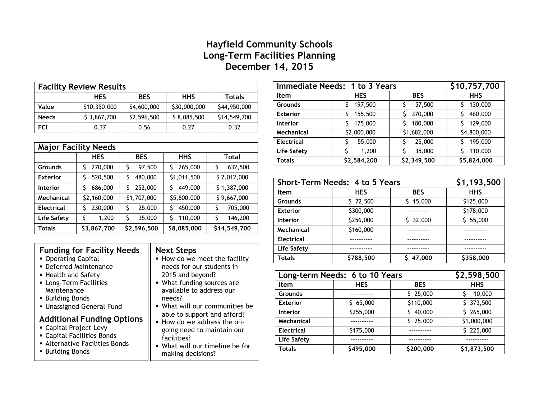## **Hayfield Community Schools Long-Term Facilities Planning December 14, 2015**

| <b>Facility Review Results</b> |              |             |              |               |
|--------------------------------|--------------|-------------|--------------|---------------|
|                                | <b>HES</b>   | <b>BES</b>  | <b>HHS</b>   | <b>Totals</b> |
| Value                          | \$10,350,000 | \$4,600,000 | \$30,000,000 | \$44,950,000  |
| <b>Needs</b>                   | \$3,867,700  | \$2,596,500 | \$8,085,500  | \$14,549,700  |
| FCI                            | 0.37         | 0.56        | 0.27         | 0.32          |

| <b>Major Facility Needs</b> |               |               |              |              |
|-----------------------------|---------------|---------------|--------------|--------------|
|                             | <b>HES</b>    | <b>BES</b>    | <b>HHS</b>   | Total        |
| Grounds                     | 270,000<br>\$ | \$<br>97,500  | 265,000<br>Ś | 632,500<br>Ś |
| <b>Exterior</b>             | 520,500<br>\$ | \$<br>480,000 | \$1,011,500  | \$2,012,000  |
| Interior                    | 686,000       | \$<br>252,000 | 449,000<br>Ś | \$1,387,000  |
| Mechanical                  | \$2,160,000   | \$1,707,000   | \$5,800,000  | \$9,667,000  |
| <b>Electrical</b>           | 230,000<br>S  | 25,000<br>S   | 450,000<br>S | 705,000<br>S |
| Life Safety                 | \$<br>1,200   | Ś<br>35,000   | 110,000<br>Ś | Ś<br>146,200 |
| Totals                      | \$3,867,700   | \$2,596,500   | \$8,085,000  | \$14,549,700 |

## **Funding for Facility Needs**

- **Operating Capital**
- Deferred Maintenance
- **Health and Safety**
- **ELONG-Term Facilities** Maintenance
- **Building Bonds**
- **Unassigned General Fund**

## **Additional Funding Options**

- Capital Project Levy
- Capital Facilities Bonds
- Alternative Facilities Bonds
- Building Bonds

## **Next Steps**

- $\blacksquare$  How do we meet the facility needs for our students in 2015 and beyond?
- What funding sources are available to address our needs?
- What will our communities be able to support and afford?
- How do we address the ongoing need to maintain our facilities?
- What will our timeline be for making decisions?

| Immediate Needs: 1 to 3 Years |             |              | \$10,757,700 |
|-------------------------------|-------------|--------------|--------------|
| <b>Item</b>                   | <b>HES</b>  | <b>BES</b>   | <b>HHS</b>   |
| <b>Grounds</b>                | 197,500     | 57,500       | 130,000      |
| <b>Exterior</b>               | 155,500     | 370,000<br>S | 460,000      |
| <b>Interior</b>               | 175,000     | 180,000      | 129,000      |
| Mechanical                    | \$2,000,000 | \$1,682,000  | \$4,800,000  |
| <b>Electrical</b>             | 55,000      | 25,000       | 195,000      |
| Life Safety                   | 1,200       | 35,000       | 110,000      |
| Totals                        | \$2,584,200 | \$2,349,500  | \$5,824,000  |

| Short-Term Needs: 4 to 5 Years |            |            | \$1,193,500 |
|--------------------------------|------------|------------|-------------|
| <b>Item</b>                    | <b>HES</b> | <b>BES</b> | <b>HHS</b>  |
| <b>Grounds</b>                 | \$72,500   | 15,000     | \$125,000   |
| <b>Exterior</b>                | \$300,000  |            | \$178,000   |
| <b>Interior</b>                | \$256,000  | 32,000     | \$5,000     |
| Mechanical                     | \$160,000  |            |             |
| <b>Electrical</b>              |            |            |             |
| Life Safety                    |            |            |             |
| <b>Totals</b>                  | \$788,500  | 47,000     | \$358,000   |

| Long-term Needs: 6 to 10 Years |            |            | \$2,598,500 |
|--------------------------------|------------|------------|-------------|
| Item                           | <b>HES</b> | <b>BES</b> | <b>HHS</b>  |
| <b>Grounds</b>                 |            | \$25,000   | 10,000      |
| <b>Exterior</b>                | \$65,000   | \$110,000  | \$373,500   |
| <b>Interior</b>                | \$255,000  | 40,000     | \$265,000   |
| Mechanical                     |            | \$25,000   | \$1,000,000 |
| <b>Electrical</b>              | \$175,000  |            | \$225,000   |
| Life Safety                    |            |            |             |
| <b>Totals</b>                  | \$495,000  | \$200,000  | \$1,873,500 |